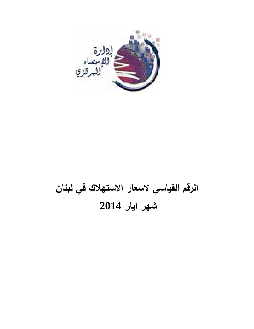

# **الرقم القياسي لاسعار الاستهلاك في لبنان شهر ايار 2014**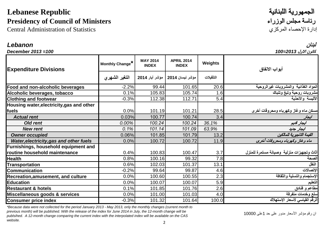# الجمهورية اللبنانية **Republic Lebanese Presidency of Council of Ministers** الوزراء مجلس رئاسة

Central Administration of Statistics

## لبنان *Lebanon* كانون الاول *2013=100 100= 2013 December*

| <b>Expenditure Divisions</b>              | Monthly Change $^\star$ | <b>MAY 2014</b><br><b>INDEX</b> | <b>APRIL 2014</b><br><b>INDEX</b> | <b>Weights</b> | أبواب الانفاق                              |
|-------------------------------------------|-------------------------|---------------------------------|-----------------------------------|----------------|--------------------------------------------|
|                                           | التغير الشهرى           | مؤشر أيار 2014                  | مؤشر نيسان 2014                   | التثقيلات      |                                            |
| Food and non-alcoholic beverages          | $-2.2%$                 | 99.44                           | 101.65                            | 20.6           | المواد الغذائية والمشروبات غيرالروحية      |
| Alcoholic beverages, tobacco              | 0.1%                    | 105.83                          | 105.74                            | 1.6            | مشروبات روحية وتبغ وتنباك                  |
| <b>Clothing and footwear</b>              | $-0.3%$                 | 112.38                          | 112.71                            | 5.4            | الألبسة والأحذية                           |
| Housing water, electricity, gas and other |                         |                                 |                                   |                |                                            |
| fuels                                     | 0.0%                    | 101.19                          | 101.21                            | 28.5           | مسكن ماء وغاز وكهرباء ومحروقات أخرى        |
| <b>Actual rent</b>                        | 0.03%                   | 100.77                          | 100.74                            | 3.4            | ايجار                                      |
| <b>Old rent</b>                           | $0.00\%$                | 100.24                          | 100.24                            | 36.1%          | ايجار قديم                                 |
| <b>New rent</b>                           | 0.1%                    | 101.14                          | 101.09                            | 63.9%          | ايجار جديد                                 |
| <b>Owner occupied</b>                     | 0.06%                   | 101.85                          | 101.79                            | 13.2           | القيمة التاجيرية للمالكين                  |
| Water, electricity, gas and other fuels   | 0.0%                    | 100.72                          | 100.72                            | 11.9           | ماء وغاز وكهرباء ومحروقات أخرى             |
| Furnishings, household equipment and      |                         |                                 |                                   |                |                                            |
| routine household maintenance             | 0.4%                    | 100.83                          | 100.47                            | 3.7            | أثاث وتجهيزات منزلية  وصيانة مستمرة للمنزل |
| <b>Health</b>                             | 0.8%                    | 100.16                          | 99.32                             | 7.8            | الصحة                                      |
| <b>Transportation</b>                     | 0.6%                    | 102.03                          | 101.37                            | 13.1           | النقل                                      |
| <b>Communication</b>                      | $-0.2%$                 | 99.64                           | 99.87                             | 4.6            | الإتصالات                                  |
| Recreation, amusement, and culture        | 0.0%                    | 100.60                          | 100.55                            | 2.3            | الإستجمام والتسلية والثقافة                |
| <b>Education</b>                          | 0.0%                    | 100.07                          | 100.07                            | 5.9            | التعليم                                    |
| <b>Restaurant &amp; hotels</b>            | 0.1%                    | 101.85                          | 101.76                            | 2.6            | مطاعم و فنادق                              |
| Miscellaneous goods & services            | 0.0%                    | 101.00                          | 101.03                            | 4.0            | سلع وخدمات متفرقة                          |
| <b>Consumer price index</b>               | $-0.3%$                 | 101.32                          | 101.64                            | 100.0          | الرقم القياسي لأسعار الإستهلاك             |

*\*Because data were not collected for the period January 2013 - May 2013, only the monthly changes (current month to previous month) will be published. With the release of the index for June 2014 in July, the 12-month change will be publsihed. A 12-month change comparing the current index with the interpolated index will be available on the CAS website.*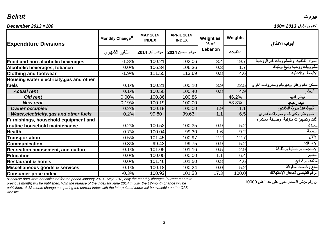# بيروت *Beirut*

| كانون الاول 2013 =100<br>December 2013=100 |
|--------------------------------------------|
|--------------------------------------------|

| <b>Expenditure Divisions</b>              | Monthly Change <sup>*</sup> | <b>MAY 2014</b><br><b>INDEX</b> | <b>APRIL 2014</b><br><b>INDEX</b> | <b>Weight as</b><br>$%$ of | <b>Weights</b> | أبواب الانفاق                         |  |
|-------------------------------------------|-----------------------------|---------------------------------|-----------------------------------|----------------------------|----------------|---------------------------------------|--|
|                                           | التغير الشهرى               |                                 | مؤشر نيسان 2014   مؤشر أيار 2014  | Lebanon                    | التثقيلات      |                                       |  |
| Food and non-alcoholic beverages          | $-1.8%$                     | 100.21                          | 102.06                            | 3.4                        | 19.7           | المواد الغذائية والمشروبات غيرالروحية |  |
| Alcoholic beverages, tobacco              | 0.0%                        | 106.34                          | 106.36                            | 0.3                        | 1.7            | مشروبات روحية وتبغ وتنباك             |  |
| <b>Clothing and footwear</b>              | $-1.9%$                     | 111.55                          | 113.69                            | 0.8                        | 4.6            | الألبسة والأحذية                      |  |
| Housing water, electricity, gas and other |                             |                                 |                                   |                            |                |                                       |  |
| fuels                                     | 0.1%                        | 100.21                          | 100.10                            | 3.9                        | 22.5           | مسكن ماء وغاز وكهرباء ومحروقات أخرى   |  |
| <b>Actual rent</b>                        | 0.1%                        | 100.50                          | 100.40                            | 0.8                        | 4.9            | ايجار                                 |  |
| Old rent                                  | $0.00\%$                    | 100.86                          | 100.86                            |                            | 46.2%          | ايجار قديم                            |  |
| <b>New rent</b>                           | 0.19%                       | 100.19                          | 100.00                            |                            | 53.8%          | ايجار جديد                            |  |
| <b>Owner occupied</b>                     | 0.2%                        | 100.19                          | 100.00                            | 1.9                        | 11.1           | القيمة التـاجيرية للمالكين            |  |
| Water, electricity, gas and other fuels   | 0.2%                        | 99.80                           | 99.63                             | 1.1                        | 6.5            | ماء وغاز وكهرباء ومحروقات أخرى        |  |
| Furnishings, household equipment and      |                             |                                 |                                   |                            |                | أثاث وتجهيزات منزلية وصيانة مستمرة    |  |
| routine household maintenance             | 0.2%                        | 100.52                          | 100.35                            | 0.9                        | 5.2            | للمنزل                                |  |
| <b>Health</b>                             | 0.7%                        | 100.04                          | 99.30                             | 1.6                        | 9.2            | الصحة                                 |  |
| <b>Transportation</b>                     | 0.5%                        | 101.45                          | 100.97                            | 2.2                        | 12.7           | النقل                                 |  |
| <b>Communication</b>                      | $-0.3%$                     | 99.43                           | 99.75                             | 0.9                        | 5.2            | الإتصالات                             |  |
| Recreation, amusement, and culture        | $-0.1%$                     | 101.05                          | 101.16                            | 0.5                        | 2.9            | الإستجمام والتسلية والثقافة           |  |
| <b>Education</b>                          | 0.0%                        | 100.00                          | 100.00                            | 1.1                        | 6.4            | التعليم                               |  |
| <b>Restaurant &amp; hotels</b>            | 0.0%                        | 101.46                          | 101.50                            | 0.8                        | 4.6            | مطاعم و فُنادق                        |  |
| Miscellaneous goods & services            | $-0.1%$                     | 100.18                          | 100.24                            | 0.0                        | 5.2            | سلع وخدمات متفرقة                     |  |
| <b>Consumer price index</b>               | $-0.3%$                     | 100.92                          | 101.23                            | 17.3                       | 100.0          | الرقم القياسي لأسعار الإستهلاك        |  |

*\*Because data were not collected for the period January 2013 - May 2013, only the monthly changes (current month to previous month) will be published. With the release of the index for June 2014 in July, the 12-month change will be publsihed. A 12-month change comparing the current index with the interpolated index will be available on the CAS website.*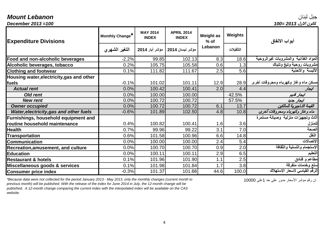# جبل لبنان *Lebanon Mount*

| <b>Expenditure Divisions</b>                   | Monthly Change <sup>*</sup> | <b>MAY 2014</b><br><b>INDEX</b> | <b>APRIL 2014</b><br><b>INDEX</b> | <b>Weight as</b><br>$%$ of | <b>Weights</b> | أبواب الانفاق                         |  |
|------------------------------------------------|-----------------------------|---------------------------------|-----------------------------------|----------------------------|----------------|---------------------------------------|--|
|                                                | التغير الشهري               | مؤشر أيار 2014                  | مؤشر نيسان 2014                   | Lebanon                    | التثقيلات      |                                       |  |
| Food and non-alcoholic beverages               | $-2.2%$                     | 99.85                           | 102.13                            | 8.3                        | 18.6           | المواد الغذائية والمشروبات غيرالروحية |  |
| Alcoholic beverages, tobacco                   | 0.2%                        | 105.75                          | 105.58                            | 0.6                        | 1.3            | مشروبات روحية وتبغ وتنباك             |  |
| <b>Clothing and footwear</b>                   | 0.1%                        | 111.82                          | 111.67                            | 2.5                        | 5.6            | الألبسة والأحذية                      |  |
| Housing water, electricity, gas and other      |                             |                                 |                                   |                            |                |                                       |  |
| fuels                                          | $-0.1%$                     | 101.02                          | 101.11                            | 12.9                       | 28.9           | مسكن ماء وغاز وكهرباء ومحروقات أخرى   |  |
| <b>Actual rent</b>                             | 0.0%                        | 100.42                          | 100.41                            | 2.0                        | 4.4            | ايجار                                 |  |
| Old rent                                       | 0.0%                        | 100.00                          | 100.00                            |                            | 42.5%          | ايجار قديم                            |  |
| <b>New rent</b>                                | 0.0%                        | 100.72                          | 100.72                            |                            | 57.5%          | ايجار جديد                            |  |
| <b>Owner occupied</b>                          | 0.0%                        | 100.72                          | 100.72                            | 6.1                        | 13.7           | القيمة التـاجيرية للمالكين            |  |
| <b>Water, electricity, gas and other fuels</b> | $-0.6%$                     | 101.89                          | 102.50                            | 4.8                        | 10.8           | ماء وغاز وكهرباء ومحروقات أخرى        |  |
| Furnishings, household equipment and           |                             |                                 |                                   |                            |                | أثاث وتجهيزات منزلية وصيانة مستمرة    |  |
| routine household maintenance                  | 0.4%                        | 100.82                          | 100.41                            | 1.6                        | 3.6            | للمنزل                                |  |
| <b>Health</b>                                  | 0.7%                        | 99.96                           | 99.22                             | 3.1                        | 7.0            | الصحة                                 |  |
| Transportation                                 | 0.6%                        | 101.58                          | 100.96                            | 6.6                        | 14.8           | النقل                                 |  |
| <b>Communication</b>                           | 0.0%                        | 100.00                          | 100.00                            | 2.4                        | 5.4            | الإتصالات                             |  |
| <b>Recreation, amusement, and culture</b>      | 0.0%                        | 100.70                          | 100.70                            | 0.9                        | 2.0            | الإستجمام والتسلية والثقافة           |  |
| <b>Education</b>                               | 0.0%                        | 100.11                          | 100.11                            | 2.9                        | 6.5            | التعليم                               |  |
| <b>Restaurant &amp; hotels</b>                 | 0.1%                        | 101.96                          | 101.90                            | 1.1                        | 2.5            | مطاعم و فنادق                         |  |
| Miscellaneous goods & services                 | 0.1%                        | 101.98                          | 101.84                            | 1.7                        | 3.8            | سلع وخدمات متفرقة                     |  |
| <b>Consumer price index</b>                    | $-0.3%$                     | 101.37                          | 101.66                            | 44.6                       | 100.0          | الرقم القياسى لأسعار الإستهلاك        |  |

10000 على1 حد على مدور الأسعار مؤشر رقم ان*\* Because data were not collected for the period January 2013 - May 2013, only the monthly changes (current month to previous month) will be published. With the release of the index for June 2014 in July, the 12-month change will be publsihed. A 12-month change comparing the current index with the interpolated index will be available on the CAS website.*

كانون الاول *2013 =100 100= 2013 December*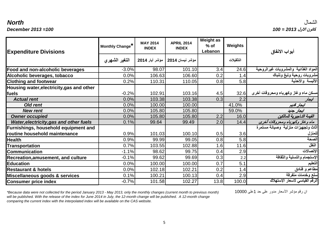الشمال *North* كانون الاول *2013 = 100 100= 2013 December*

| <b>Expenditure Divisions</b>                   | Monthly Change <sup>*</sup> | <b>MAY 2014</b><br><b>INDEX</b> | <b>APRIL 2014</b><br><b>INDEX</b> | <b>Weight as</b><br>$%$ of<br>Lebanon | <b>Weights</b> | أبواب الانفاق                         |
|------------------------------------------------|-----------------------------|---------------------------------|-----------------------------------|---------------------------------------|----------------|---------------------------------------|
|                                                | التغير الشهرى               |                                 | مؤشر نيسان 2014   مؤشر أيار 2014  |                                       | التثقيلات      |                                       |
| Food and non-alcoholic beverages               | $-3.0%$                     | 98.07                           | 101.10                            | 3.4                                   | 24.6           | المواد الغذائية والمشروبات غيرالروحية |
| Alcoholic beverages, tobacco                   | 0.0%                        | 106.63                          | 106.60                            | 0.2                                   | 1.4            | مشروبات روحية وتبغ وتنباك             |
| <b>Clothing and footwear</b>                   | 0.2%                        | 110.31                          | 110.05                            | 0.8                                   | 5.8            | الألبسة والأحذية                      |
| Housing water, electricity, gas and other      |                             |                                 |                                   |                                       |                |                                       |
| fuels                                          | $-0.2%$                     | 102.91                          | 103.16                            | 4.5                                   | 32.6           | مسكن ماء وغاز وكهرباء ومحروقات أخرى   |
| <b>Actual rent</b>                             | 0.0%                        | 103.38                          | 103.38                            | 0.3                                   | 2.2            | ايجار                                 |
| <b>Old rent</b>                                | 0.0%                        | 100.00                          | 100.00                            |                                       | 41.0%          | ايجار قديم                            |
| <b>New rent</b>                                | 0.0%                        | 105.80                          | 105.80                            |                                       | 59.0%          | ايجار جديد                            |
| <b>Owner occupied</b>                          | 0.0%                        | 105.80                          | 105.80                            | 2.2                                   | 16.0           | القيمة التـاجيرية للمالكين            |
| <b>Water, electricity, gas and other fuels</b> | 0.1%                        | 99.64                           | 99.49                             | 2.0                                   | 14.4           | ماء وغاز وكهرباء ومحروقات أخرى        |
| Furnishings, household equipment and           |                             |                                 |                                   |                                       |                | أثاث وتجهيزات منزلية وصيانة مستمرة    |
| routine household maintenance                  | 0.9%                        | 101.03                          | 100.10                            | 0.5                                   | 3.6            | للمنزل                                |
| <b>Health</b>                                  | 0.9%                        | 99.99                           | 99.05                             | 0.8                                   | 5.8            | الصحة                                 |
| <b>Transportation</b>                          | 0.7%                        | 103.55                          | 102.88                            | 1.6                                   | 11.6           | النقل                                 |
| <b>Communication</b>                           | $-1.1%$                     | 98.62                           | 99.75                             | 0.4                                   | 2.9            | الإتصالات                             |
| Recreation, amusement, and culture             | $-0.1%$                     | 99.62                           | 99.69                             | 0.3                                   | 2.2            | الإستجمام والتسلية والثقافة           |
| <b>Education</b>                               | 0.0%                        | 100.00                          | 100.00                            | 0.7                                   | 5.1            | التعليم                               |
| <b>Restaurant &amp; hotels</b>                 | 0.0%                        | 102.18                          | 102.21                            | 0.2                                   | 1.4            | مطاعم و فنادق                         |
| Miscellaneous goods & services                 | 0.1%                        | 100.21                          | 100.13                            | 0.4                                   | 2.9            | سلع وخدمات متفرقة                     |
| <b>Consumer price index</b>                    | $-0.7%$                     | 101.58                          | 102.27                            | 13.8                                  | 100.0          | الرقم القياسي لأسعار الإستهلاك        |

*\*Because data were not collected for the period January 2013 - May 2013, only the monthly changes (current month to previous month)* 10000 على1 حد على مدور الأسعار مؤشر رقم ان *will be published. With the release of the index for June 2014 in July, the 12-month change will be publsihed. A 12-month change comparing the current index with the interpolated index will be available on the CAS website.*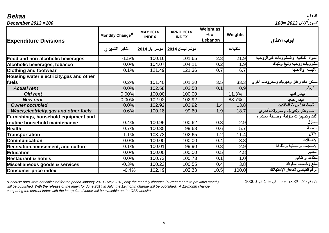| <b>Expenditure Divisions</b>              | Monthly Change* | <b>MAY 2014</b><br><b>INDEX</b> | <b>APRIL 2014</b><br><b>INDEX</b> | <b>Weight as</b><br>$%$ of<br>Lebanon | <b>Weights</b> | أبواب الانفاق                         |
|-------------------------------------------|-----------------|---------------------------------|-----------------------------------|---------------------------------------|----------------|---------------------------------------|
|                                           | التغير الشهري   | مؤشر أيار 2014                  | مؤشر نيسان 2014                   |                                       | التثقيلات      |                                       |
| Food and non-alcoholic beverages          | $-1.5%$         | 100.16                          | 101.65                            | 2.3                                   | 21.9           | المواد الغذائية والمشروبات غيرالروحية |
| Alcoholic beverages, tobacco              | 0.0%            | 104.07                          | 104.11                            | 0.2                                   | 1.9            | مشروبات روحية وتبغ وتنباك             |
| <b>Clothing and footwear</b>              | 0.1%            | 121.49                          | 121.36                            | 0.7                                   | 6.7            | الألبسة والأحذية                      |
| Housing water, electricity, gas and other |                 |                                 |                                   |                                       |                |                                       |
| fuels                                     | 0.2%            | 101.40                          | 101.20                            | 3.5                                   | 33.3           | مسكن ماء وغاز وكهرباء ومحروقات أخرى   |
| <b>Actual rent</b>                        | 0.0%            | 102.58                          | 102.58                            | 0.1                                   | 0.9            | ايجار                                 |
| <b>Old rent</b>                           | 0.00%           | 100.00                          | 100.00                            |                                       | 11.3%          | ايجار قديم                            |
| <b>New rent</b>                           | 0.00%           | 102.92                          | 102.92                            |                                       | 88.7%          | ايجار جديد                            |
| <b>Owner occupied</b>                     | 0.0%            | 102.92                          | 102.92                            | 1.4                                   | 13.8           | القيمة التـاجيرية للمالكين            |
| Water, electricity, gas and other fuels   | 0.6%            | 100.18                          | 99.60                             | 1.9                                   | 18.7           | ماء وغاز وكهرباء ومحروقات أخرى        |
| Furnishings, household equipment and      |                 |                                 |                                   |                                       |                | أثاث وتجهيزات منزلية وصيانة مستمرة    |
| routine household maintenance             | 0.4%            | 100.99                          | 100.62                            | 0.3                                   | 2.9            | للمنزل                                |
| <b>Health</b>                             | 0.7%            | 100.35                          | 99.68                             | 0.6                                   | 5.7            | الصحة                                 |
| Transportation                            | 1.1%            | 103.73                          | 102.65                            | 1.2                                   | 11.4           | النقل                                 |
| <b>Communication</b>                      | 0.0%            | 100.00                          | 100.00                            | 0.4                                   | 3.8            | الإتصالات                             |
| <b>Recreation, amusement, and culture</b> | 0.1%            | 100.01                          | 99.90                             | 0.3                                   | 2.9            | الإستجمام والتسلية والثقافة           |
| <b>Education</b>                          | 0.0%            | 100.00                          | 100.00                            | 0.5                                   | 4.8            | التعليم                               |
| <b>Restaurant &amp; hotels</b>            | 0.0%            | 100.73                          | 100.73                            | 0.1                                   | 1.0            | مطاعم و فنادق                         |
| Miscellaneous goods & services            | $-0.3%$         | 100.23                          | 100.55                            | 0.4                                   | 3.8            | سلع وخدمات متفرقة                     |
| <b>Consumer price index</b>               | $-0.1%$         | 102.19                          | 102.33                            | 10.5                                  | 100.0          | الرقم القياسى لأسعار الإستهلاك        |

*\*Because data were not collected for the period January 2013 - May 2013, only the monthly changes (current month to previous month) will be published. With the release of the index for June 2014 in July, the 12-month change will be publsihed. A 12-month change comparing the current index with the interpolated index will be available on the CAS website.*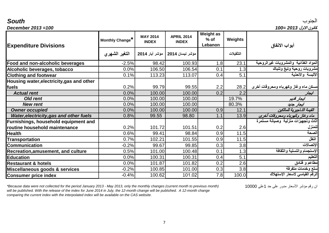| December $2013 = 100$<br>كانون الاول 2013 =100 |                 |                                 |                                   |                                       |           |                                       |  |  |  |
|------------------------------------------------|-----------------|---------------------------------|-----------------------------------|---------------------------------------|-----------|---------------------------------------|--|--|--|
| <b>Expenditure Divisions</b>                   | Monthly Change* | <b>MAY 2014</b><br><b>INDEX</b> | <b>APRIL 2014</b><br><b>INDEX</b> | <b>Weight as</b><br>$%$ of<br>Lebanon | Weights   | أبواب الانفاق                         |  |  |  |
|                                                | التغير الشهري   | مؤشر أيار 2014                  | مؤشر نيسان 2014                   |                                       | التثقيلات |                                       |  |  |  |
| Food and non-alcoholic beverages               | $-2.5%$         | 98.42                           | 100.93                            | 1.8                                   | 23.1      | المواد الغذائية والمشروبات غيرالروحية |  |  |  |
| Alcoholic beverages, tobacco                   | 0.0%            | 106.50                          | 106.54                            | 0.1                                   | 1.3       | مشروبات روحية وتبغ وتنباك             |  |  |  |
| <b>Clothing and footwear</b>                   | 0.1%            | 113.23                          | 113.07                            | 0.4                                   | 5.1       | الألبسة والأحذية                      |  |  |  |
| Housing water, electricity, gas and other      |                 |                                 |                                   |                                       |           |                                       |  |  |  |
| fuels                                          | 0.2%            | 99.79                           | 99.55                             | 2.2                                   | 28.2      | مسكن ماء وغاز وكهرباء ومحروقات أخرى   |  |  |  |
| <b>Actual rent</b>                             | 0.0%            | 100.00                          | 100.00                            | 0.2                                   | 2.2       | ايجار                                 |  |  |  |
| <b>Old rent</b>                                | 0.0%            | 100.00                          | 100.00                            |                                       | 19.7%     | ايجار قديم                            |  |  |  |
| <b>New rent</b>                                | 0.0%            | 100.00                          | 100.00                            |                                       | 80.3%     | ايجار جديد                            |  |  |  |
| <b>Owner occupied</b>                          | 0.0%            | 100.00                          | 100.00                            | 0.9                                   | 12.1      | القيمة التـاجيرية للمالكين            |  |  |  |
| Water, electricity, gas and other fuels        | 0.8%            | 99.55                           | 98.80                             | 1.1                                   | 13.9      | ماء وغاز وكهرباء ومحروقات أخرى        |  |  |  |
| Furnishings, household equipment and           |                 |                                 |                                   |                                       |           | أثاث وتجهيزات منزلية وصيانة مستمرة    |  |  |  |
| routine household maintenance                  | 0.2%            | 101.72                          | 101.51                            | 0.2                                   | 2.6       | للمنزل                                |  |  |  |
| <b>Health</b>                                  | 0.6%            | 99.41                           | 98.84                             | 0.9                                   | 11.5      | الصحة                                 |  |  |  |
| <b>Transportation</b>                          | 0.7%            | 102.21                          | 101.55                            | 0.9                                   | 11.5      | النقل                                 |  |  |  |
| <b>Communication</b>                           | $-0.2%$         | 99.67                           | 99.85                             | 0.3                                   | 3.8       | الإتصالات                             |  |  |  |
| <b>Recreation, amusement, and culture</b>      | 0.5%            | 101.00                          | 100.48                            | 0.1                                   | 1.3       | الإستجمام والتسلية والثقافة           |  |  |  |
| <b>Education</b>                               | 0.0%            | 100.31                          | 100.31                            | 0.4                                   | 5.1       | التعليم                               |  |  |  |
| <b>Restaurant &amp; hotels</b>                 | 0.0%            | 101.87                          | 101.82                            | 0.2                                   | 2.6       | مطاعم و فنادق                         |  |  |  |
| Miscellaneous goods & services                 | $-0.2%$         | 100.85                          | 101.00                            | 0.3                                   | 3.8       | سلع وخدمات متفرقة                     |  |  |  |
| <b>Consumer price index</b>                    | $-0.4%$         | 100.62                          | 101.02                            | 7.8                                   | 100.0     | الرقم القياسي لأسعار الإستهلاك        |  |  |  |

*\*Because data were not collected for the period January 2013 - May 2013, only the monthly changes (current month to previous month) will be published. With the release of the index for June 2014 in July, the 12-month change will be publsihed. A 12-month change comparing the current index with the interpolated index will be available on the CAS website.*

ان رقم مؤشر الأسعار مدور على حد 1على 10000

# الجنوب *South*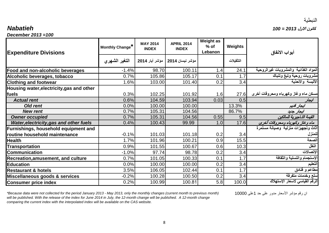## كانون الاول *2013 = 100 Nabatieh*

*December 2013 =100*

|                                                | Monthly Change* | <b>MAY 2014</b> | <b>APRIL 2014</b>                | <b>Weight as</b><br>$%$ of | Weights   |                                       |
|------------------------------------------------|-----------------|-----------------|----------------------------------|----------------------------|-----------|---------------------------------------|
| <b>Expenditure Divisions</b>                   |                 | <b>INDEX</b>    | <b>INDEX</b>                     | Lebanon                    |           | أبواب الانفاق                         |
|                                                | التغير الشهرى   |                 | مؤشر نيسان 2014   مؤشر أيار 2014 |                            | التثقيلات |                                       |
| Food and non-alcoholic beverages               | $-1.4%$         | 98.70           | 100.11                           | 1.4                        | 24.1      | المواد الغذائية والمشروبات غيرالروحية |
| Alcoholic beverages, tobacco                   | 0.7%            | 105.86          | 105.17                           | 0.1                        | 1.7       | مشروبات روحية وتبغ وتنباك             |
| <b>Clothing and footwear</b>                   | 1.6%            | 103.00          | 101.40                           | 0.2                        | 3.4       | الألبسة والأحذية                      |
| Housing water, electricity, gas and other      |                 |                 |                                  |                            |           |                                       |
| fuels                                          | 0.3%            | 102.25          | 101.92                           | 1.6                        | 27.6      | مسكن ماء وغاز وكهرباء ومحروقات أخرى   |
| <b>Actual rent</b>                             | 0.6%            | 104.59          | 103.94                           | 0.03                       | 0.5       | ايجار                                 |
| Old rent                                       | 0.0%            | 100.00          | 100.00                           |                            | 13.3%     | ايجار قديم                            |
| <b>New rent</b>                                | 0.7%            | 105.31          | 104.56                           |                            | 86.7%     | ايجار جديد                            |
| <b>Owner occupied</b>                          | 0.7%            | 105.31          | 104.56                           | 0.55                       | 9.5       | القيمة التـاجيرية للمالكين            |
| <b>Water, electricity, gas and other fuels</b> | 0.4%            | 100.43          | 99.99                            | 1.0                        | 17.6      | ماء وغاز وكهرباء ومحروقات أخرى        |
| Furnishings, household equipment and           |                 |                 |                                  |                            |           | أثاث وتجهيزات منزلية وصيانة مستمرة    |
| routine household maintenance                  | $-0.1%$         | 101.03          | 101.18                           | 0.2                        | 3.4       | للمنزل                                |
| <b>Health</b>                                  | 1.7%            | 101.96          | 100.21                           | 0.9                        | 15.5      | الصحة                                 |
| <b>Transportation</b>                          | 0.9%            | 101.55          | 100.67                           | 0.6                        | 10.3      | النقل                                 |
| <b>Communication</b>                           | $-1.0%$         | 97.74           | 98.78                            | 0.2                        | 3.4       | الإتصالات                             |
| Recreation, amusement, and culture             | 0.7%            | 101.05          | 100.33                           | 0.1                        | 1.7       | الإستجمام والتسلية والثقافة           |
| <b>Education</b>                               | 0.0%            | 100.00          | 100.00                           | 0.2                        | 3.4       | التعليم                               |
| <b>Restaurant &amp; hotels</b>                 | 3.5%            | 106.05          | 102.44                           | 0.1                        | 1.7       | مطاعم و فُنادق                        |
| Miscellaneous goods & services                 | $-0.2%$         | 100.28          | 100.50                           | 0.2                        | 3.4       | سلع وخدمات متفرقة                     |
| <b>Consumer price index</b>                    | 0.2%            | 100.99          | 100.81                           | 5.8                        | 100.0     | الرقم القياسي لأسعار الإستهلاك        |

*\*Because data were not collected for the period January 2013 - May 2013, only the monthly changes (current month to previous month) will be published. With the release of the index for June 2014 in July, the 12-month change will be publsihed. A 12-month change comparing the current index with the interpolated index will be available on the CAS website.*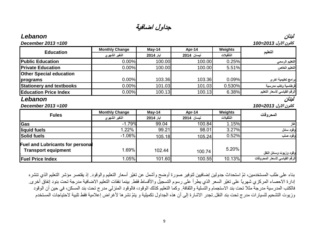جداول اضافية

**Monthly Change May-14 Apr-14 Weights التثقيلات نيسان 2014 ايار 2014 التغير الشهري**

**التعليم Education**

## لبنان *Lebanon*

|                       |           |            |           | التعليم الرسمي               |
|-----------------------|-----------|------------|-----------|------------------------------|
| $0.00\%$              | 100.00    | 100.00     | 5.51%     | التعليم الخاص                |
|                       |           |            |           |                              |
| 0.00%                 | 103.36    | 103.36     | 0.09%     | برامج تعليمية اخرى           |
| 0.00%                 | 101.03    | 101.03     | 0.530%    | قرطاسية وكتب مدرسية          |
| 0.00%                 | 100.13    | 100.13     | 6.38%     | الرقم القياسي لأسعار التعليم |
|                       |           |            |           | لبنان                        |
|                       |           |            |           | كانون الاول 2013=100         |
| <b>Monthly Change</b> | $May-14$  | Apr-14     | Weights   | المحروقات                    |
| التغير الشهرى         | ايار 2014 | نيسان 2014 | التثقيلات |                              |
| $-1.79%$              | 99.04     | 100.84     | 1.15%     | غاز                          |
| 1.22%                 | 99.21     | 98.01      | 3.27%     | وقود سائل                    |
| $-1.06%$              | 105.18    | 105.24     | 0.52%     | وقود صلب                     |
|                       |           |            |           |                              |
| 1.69%                 | 102.44    | 100.74     | 5.20%     | وقود وزيوت وسائل النقل       |
|                       |           |            |           |                              |
|                       | $0.00\%$  | 100.00     | 100.00    | 0.25%                        |

بناء على طلب المستخدمين، تمّ استحداث جدولين إضافيين لتوفير صورة أوضح وأشمل عن تغيّر أسعار التعليم والوقود. إذ يقتصر مؤشر التعليم الذي تنشره إدارة الاحصاء المركزي شهرياً على تغيّر السعر الذي يطرأ على رسوم التسجيل والأقساط فقط. بينما نفقات التعليم الاضافية مدرجة تحت بنود إنفاق أخرى. فالكتب المدرسية مدرجة مثلاً تحت بند الاستجمام والتسلية والثقافة. وكما التعليم كذلك الوقود، فالوقود المنزلي مدرج تحت بند المسكن، في حين أن الوقود وزيوت التشحيم للسيارات مدرج تحت بند النقل.تجدر الاشارة إلى أن هذه الجداول تكميلية و يتمّ نشرها لأغراض إعلامية فقط تلبية لاحتياجات المستخدم

كانون الاول *2013=100 100= 2013 December*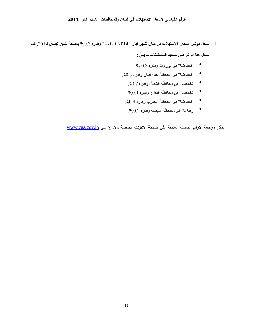### **الرقم القياسي لاسعار الاستهلاك في لبنان والمحافظات لشهر ايار 2014**

- 1. سجل مؤشر اسعار الاستهلاك في لبنان لشهر ايار 2014 انخفاضا" وقدره 0.3% *<sup>U</sup>* بالنسبة لشهر نيسان *<sup>U</sup>* ,2014 كما سجل هذا الرقم على صعيد المحافظات ما يلي :
	- ا نخفاضا" في بيروت وقدره 0.3 %
	- ا نخفاضا" في محافظة جبل لبنان وقدره %0.3
		- انخفاضا" في محافظة الشمال وقدره %0.7
		- . انخفاضا" في محافظة البقاع وقدره %0.1
		- ا نخفاضا" في محافظة الجنوب وقدره %0.4
			- ارتفاعا" في محافظة النبطیة وقدره .%0.2

*T0U* يمكن مراجعة الارقام القياسية السابقة على صفحة الانترنت الخاصة بالادارة على [lb.gov.cas.](http://www.cas.gov.lb/)*TU*www*<sup>0</sup>*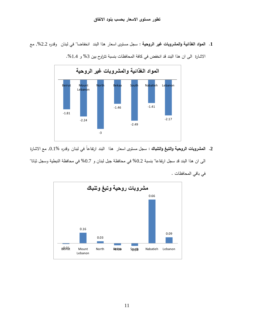**.1 المواد الغذائية والمشروبات غير الروحية** : سجل مستوى اسعار هذا البند انخفاضا " في لبنان وقدره 2.2 %, مع



الاشارة الى ان هذا البند قد انخفض في كافة المحافظات بنسبة تتراوح بين 3% و 1.4%.

2. ا**لمشروبات الروحية والتبغ والتنباك** : سجل مستوى اسعار هذا البند ارتفاعاً في لبنان وقدره %0.1, مع الاشارة

الى ان هذا البند قد سجل ارتفاعا" بنسبة %0.2 في محافظة جبل لبنان و %0.7 في محافظة النبطية وسجل ثباتا"



في باقي المحافظات .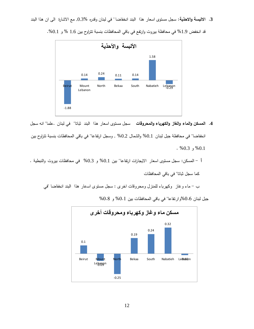**.3 الالبسة والاحذية:** سجل مستوى اسعار هذا البند انخفاضا " في لبنان وقدره ,0.3% مع الاشارة الى ان هذا البند



قد انخفض %1.9 في محافظة بيروت وارتفع في باقي المحافظات بنسبة تتراوح بين 1.6 % و 0.1 .%

**.4 المسكن والماء والغاز والكهرباء والمحروقات** سجل مستوى اسعار هذا البند ثباتا " في لبنان .علما" انه سجل انخفاضا" في محافظة جبل لبنان %0.1 والشمال 0.2 , % وسجل ارتفاعا" في باقي المحافظات بنسبة تتراوح بين  $. %0.3, %0.1$ 

أ - المسكن : سجل مستوى اسعار الايجارات ارتفاعا" بين %0.1 و 0.3 % في محافظات بيروت والنبطية .

كما سجل ثباتا" في باقي المحافظات

ب - ماء وغاز وكهرباء للمنزل ومحروقات اخرى : سجل مستوى اسعار هذا البند انخفاضا "في



جبل لبنان %0.6وارتفاعا" في باقي المحافظات بین %0.1 و %0.8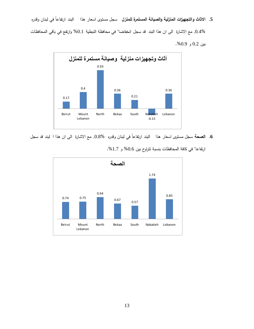5. الاثاث والتجهيزات المنزلية والصيانة المستمرة للمنزل سجل مستوى اسعار هذا البند ارتفاعاً في لبنان وقدره ,0.4% مع الاشارة الى ان هذا البند قد سجل انخفاضا" في محافظة النبطية %0.1 وارتفع في باقي المحافظات بين 0.2 و .%0.9



6. ا**لصحة** سجل مستوى اسعار هذا البند ارتفاعاً في لبنان وقدره %0.8, مع الاشارة الى ان هذا ا لبند قد سجل



ارتفاعا" في كافة المحافظات بنسبة تتراوح بين %0.6 و 1.7 .%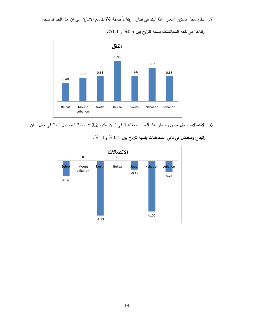7. ا**لنقل** سجل مستوى اسعار هذا البند في لبنان ارتفاعاً بنسبة %0.6,مع الاشارة الى ان هذا البند قد سجل



ارتفاعا" في كافة المحافظات بنسبة تتراوح بين 0.5% و 1.1%.

**.8 الاتصالات** سجل مستوى اسعار هذا البند انخفاضا" في لبنان وقدره 0.2 , % علما" انه سجل ثباتا" في جبل لبنان

|                          | 0                |              | الإتصالات<br>0 |                  |          |                    |
|--------------------------|------------------|--------------|----------------|------------------|----------|--------------------|
| <b>Beirut</b><br>$-0.32$ | Mount<br>Lebanon | <b>North</b> | Bekaa          | South<br>$-0.18$ | Nabatieh | Lebanon<br>$-0.23$ |
|                          |                  | $-1.13$      |                |                  | $-1.05$  |                    |

والبقاع وانخفض في باقي المحافظات بنسبة تتراوح بين 0.2% و1.1%.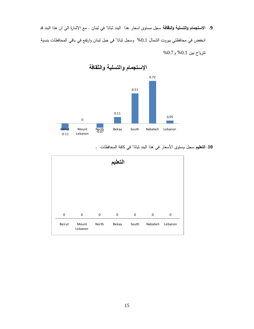**.9 الاستجمام والتسلية والثقافة** سجل مستوى اسعار هذا البند ثباتا" في لبنان . مع الاشارة الى ان هذا البند قد انخفض في محافظتي بيروت الشمال 0.1 % وسجل ثباتا" في جبل لبنان و باقي ارتفع في المحافظات بنسبة تترواح بين %0.1 و 0.7%



**.10 التعليم** سجل مستوى الأسعار في هذا البند ثباتا" في كافة المحافظات .

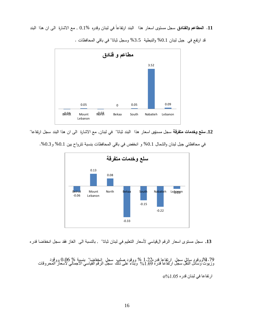ً في لبنان وقدره 0.1% , مع الاشارة الى ان هذا البند **.11 المطاعم والفنادق** سجل مستوى اسعار هذا البند ارتفاعا



قد ارتفع في جبل لبنان %0.1 والنبطية %3.5 وسجل ثباتا" في باقي المحافظات .

**12. سلع وخدمات متفرقة** سجل مستوى اسعار هذا البند ثباتا " في لبنان, مع الاشارة الى ان هذا البند سجل ارتفاعا"



في محافظتي جبل لبنان والشمال 0.1% و انخفض في باقي المحافظات بنسبة تترواح بين 0.1% و0.3%.

**.13** سجل مستوى اسعار الرقم القیاسي لأسعار التعلیم في لبنان ثباتا" , بالنسبة الى الغاز فقد سجل انخفاضا قدره

79. 89ووقود سائل سجل ارتفاعا قدر 1.22 % ووقود صلب سجل انخفاضا" بنسبة % 0.06 ووقود<br>وزيوت وسائل النقل سجل ارتفاعا قدر ه 1.69 % وبناء علي ذلك سجل الرقم القياسي الاجمالي لأسعار المحر وقات

 $0\%$ ارتفاعا في لبنان قدره 05.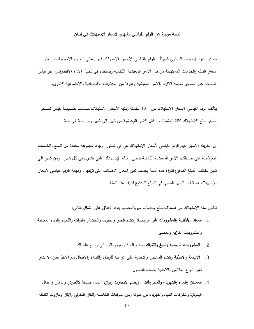### **لمحة موجزة عن الرقم القياسي الشهري لاسعار الاستهلاك في لبنان**

تصدر ادارة الاحصـاء المركزي شهريًّا الرقم القياسي لأسعار الإستهلاك فهو يعطي الصـورة الاجمالية عن تطوّر اسعار السلع والخدمات المستهلكة من قبل الاسر المعيشية اللبنانية ويستخدم في تحليل الاداء الاقتصادي عبر قياس التضخم على مستوى معيشة الافراد والاسر المعيشية وغيرها من المؤشرات الإقتصادية والإجتماعية الاخرى.

يتألف الرقم القياسي لأسعار الإستهلاك من  $1$  سلسلة زمنية لأسعار الإستهلاك صممت خصيصاً لقياس تضخم اسعار سلع الإستهلاك كافة المشتراة من قبل الاسر المعيشية من شهر الى شهر ومن سنة الى سنة.

ان الطريقة الاسهل لفهم الرقم القياسي لأسعار الإستهلاك هي في تصّور وجود مجموعة محددة من السلع والخدمات النموذجية التي تستهلكها الاسر المعيشية اللبنانية تسمى "سلة الإستهلاك" التي تشترى في كل شهر . ومن شهر الى شهر يختلف المبلغ المدفوع لشراء هذه السلة بحسب تغير اسعار الاصناف التي تؤلفها . ومهمة الرقم القياسي لأسعار الإستهلاك هو قياس التغيّر النسبي في المبلغ المدفوع لشراء هذه السلة.

تتكون سلة الإستهلاك من اصناف سلع وخدمات مبوبة بحسب بنود الانفاق على الشكل التالي:

- .1 **المواد الغذائية والمشروبات غير الروحية**: وتضم الخبز والحبوب والخضار والفواكة واللحوم والمياه المعدنية والمشروبات الغازية والعصير
	- .2 **المشروبات الروحية والتبغ والتنباك** وتضم النبيذ والعرق والويسكي والتبغ والتنباك
- .3 **الالبسة والاحذية** وتضم الملابس والاحذية على انواعها للرجال والنساء والاطفال مع الاخذ بعين الاعتبار تغير انواع الملابس والاحذية بحسب الفصول
- .4 **المسكن والماء والكهرباء والمحروقات** ويضم الايجارات ولوازم اعمال صيانة كالطرش والدهان واعمال السمكرة واشتراكات المياه والكهرباء من الدولة ومن المولدات الخاصة والغاز المنزلي والكاز ومازوت التدفئة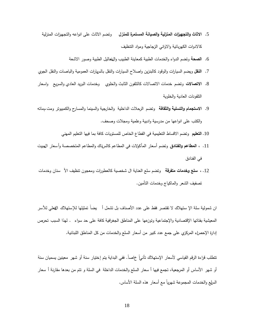- .5 **الاثاث والتجهيزات المنزلية والصيانة المستمرة للمنزل** وتضم الاثاث على انواعه والتجهيزات المنزلية كالادوات الكهربائية والاواني الزجاجية ومواد التنظيف
	- .6 **الصحة** وتضم الدواء والخدمات الطبية كمعاينة الطبيب والتحاليل الطبية وصور الاشعة
- .7 **النقل** ويضم السيارات والوقود كالبنزين واصلاح السيارات والنقل بالسيارات العمومية والباصات والنقل الجوي
- .8 **الاتصالات** وتضم خدمات الاتصالات كالتلفون الثابث والخلوي وخدمات البريد العادي والسريع واسعار التلفونات العادية والخلوية
- .9 **الاستجمام والتسلية والثقافة** وتضم الرحلات الداخلية والخارجية والسينما والمسارح والكمبيوتر ومت مماته والكتب على انواعها من مدرسية وادبية وعلمية ومجلات وصحف.
	- .10 **التعليم** وتضم الاقساط التعليمية في القطاع الخاص للمستويات كافة بما فيها التعليم المهني
- .11 **، المطاعم والفنادق** وتضم أسعار المأكولات في المطاعم كالسناك والمطاعم المتخصصة وأ سعار المبيت في الفنادق
- .12 ، **سلع وخدمات متفرقة** وتضم سلع العناية ال شخصية كالعطورات ومعجون تنظيف الأ سنان وخدمات تصفيف الشعر والماكياج وخدمات التأمين.

ان شمولية سلة الإ ستهلاك لا تقتصر فقط على عدد الأصناف بل تشمل أ بضا تمثيلها للإستهلاك الفعلي للأسر المعيشية بفئاتها الإقتصادية والإجتماعية وتوزعها على المناطق الجغرافية كافة على حد سواء . لهذا السبب تحرص إدارة الإحصاء المركزي على جمع عدد كبير من أسعار السلع والخدمات من كل المناطق اللبنانية.

نتظلب قراءة الرقم القياسي لأسعار الإستهلاك تأنيها خاصا. ففي البداية بتم إختيار سنة أو شهر معينين يسميان سنة أو شهر الأساس أو المرجعية، تجمع فيها أ سعار السلع والخدمات الداخلة في السلة و تتم من بعدها مقارنة أ سعار السلمع والخدمات المجموعة شهريا مع أسعار هذه السلة الأساس.